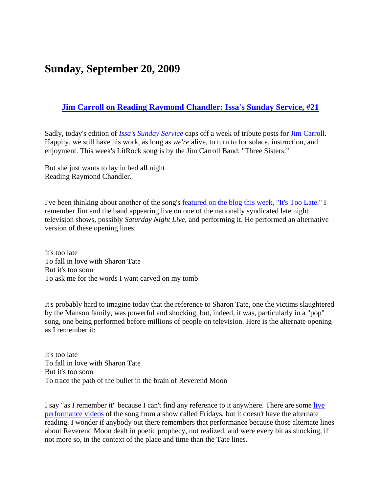## **Sunday, September 20, 2009**

## **Jim Carroll on Reading Raymond Chandler: Issa's Sunday Service, #21**

Sadly, today's edition of *Issa's Sunday Service* caps off a week of tribute posts for Jim Carroll. Happily, we still have his work, as long as *we're* alive, to turn to for solace, instruction, and enjoyment. This week's LitRock song is by the Jim Carroll Band: "Three Sisters:"

But she just wants to lay in bed all night Reading Raymond Chandler.

I've been thinking about another of the song's featured on the blog this week, "It's Too Late." I remember Jim and the band appearing live on one of the nationally syndicated late night television shows, possibly *Saturday Night Live*, and performing it. He performed an alternative version of these opening lines:

It's too late To fall in love with Sharon Tate But it's too soon To ask me for the words I want carved on my tomb

It's probably hard to imagine today that the reference to Sharon Tate, one the victims slaughtered by the Manson family, was powerful and shocking, but, indeed, it was, particularly in a "pop" song, one being performed before millions of people on television. Here is the alternate opening as I remember it:

It's too late To fall in love with Sharon Tate But it's too soon To trace the path of the bullet in the brain of Reverend Moon

I say "as I remember it" because I can't find any reference to it anywhere. There are some live performance videos of the song from a show called Fridays, but it doesn't have the alternate reading. I wonder if anybody out there remembers that performance because those alternate lines about Reverend Moon dealt in poetic prophecy, not realized, and were every bit as shocking, if not more so, in the context of the place and time than the Tate lines.